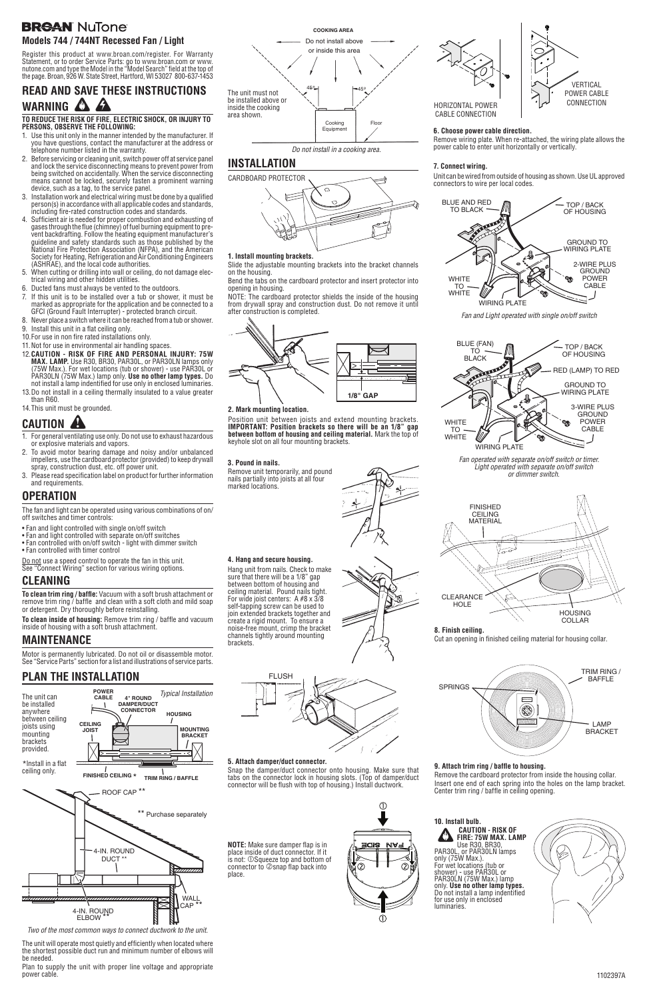## **BREAN NuTone Models 744 / 744NT Recessed Fan / Light**

# **READ AND SAVE THESE INSTRUCTIONS WARNING COMPTER TO REDUCE THE RISK OF FIRE, ELECTRIC SHOCK, OR INJURY TO**

**PERSONS, OBSERVE THE FOLLOWING:**

- 1. Use this unit only in the manner intended by the manufacturer. If you have questions, contact the manufacturer at the address or telephone number listed in the warranty.
- 2. Before servicing or cleaning unit, switch power off at service panel and lock the service disconnecting means to prevent power from being switched on accidentally. When the service disconnecting means cannot be locked, securely fasten a prominent warning device, such as a tag, to the service panel.
- 3. Installation work and electrical wiring must be done by a qualified person(s) in accordance with all applicable codes and standards, including fire-rated construction codes and standards.
- 4. Sufficient air is needed for proper combustion and exhausting of gases through the flue (chimney) of fuel burning equipment to pre vent backdrafting. Follow the heating equipment manufacturer's guideline and safety standards such as those published by the National Fire Protection Association (NFPA), and the American Society for Heating, Refrigeration and Air Conditioning Engineers (ASHRAE), and the local code authorities.
- 5. When cutting or drilling into wall or ceiling, do not damage electrical wiring and other hidden utilities.
- 6. Ducted fans must always be vented to the outdoors.
- 7. If this unit is to be installed over a tub or shower, it must be marked as appropriate for the application and be connected to a GFCI (Ground Fault Interrupter) - protected branch circuit.
- 8. Never place a switch where it can be reached from a tub or shower.
- 9. Install this unit in a flat ceiling only.
- 10.For use in non fire rated installations only.
- 11.Not for use in environmental air handling spaces.
- 12.**CAUTION RISK OF FIRE AND PERSONAL INJURY: 75W MAX. LAMP.** Use R30, BR30, PAR30L, or PAR30LN lamps only (75W Max.). For wet locations (tub or shower) - use PAR30L or PAR30LN (75W Max.) lamp only. **Use no other lamp types.** Do not install a lamp indentified for use only in enclosed luminaries.
- 13.Do not install in a ceiling thermally insulated to a value greater than R60.
- 14.This unit must be grounded.

Do not use a speed control to operate the fan in this unit. See "Connect Wiring" section for various wiring options.

# **CAUTION !**

- 1. For general ventilating use only. Do not use to exhaust hazardous or explosive materials and vapors.
- 2. To avoid motor bearing damage and noisy and/or unbalanced impellers, use the cardboard protector (provided) to keep drywall spray, construction dust, etc. off power unit.
- 3. Please read specification label on product for further information and requirements.

**To clean trim ring / baffle:** Vacuum with a soft brush attachment or remove trim ring / baffle and clean with a soft cloth and mild soap or detergent. Dry thoroughly before reinstalling.

**To clean inside of housing:** Remove trim ring / baffle and vacuum inside of housing with a soft brush attachment.

## **OPERATION**

The fan and light can be operated using various combinations of on/ off switches and timer controls:

> **NOTE:** Make sure damper flap is in place inside of duct connector. If it is not: **OSqueeze** top and bottom of connector to  $\oslash$  snap flap back into

- Fan and light controlled with single on/off switch
- Fan and light controlled with separate on/off switches
- Fan controlled with on/off switch light with dimmer switch
- Fan controlled with timer control

## **CLEANING**

## **MAINTENANCE**

Motor is permanently lubricated. Do not oil or disassemble motor. See "Service Parts" section for a list and illustrations of service parts.

*Two of the most common ways to connect ductwork to the unit.*

# **PLAN THE INSTALLATION**

The unit will operate most quietly and efficiently when located where the shortest possible duct run and minimum number of elbows will be needed.

Plan to supply the unit with proper line voltage and appropriate power cable.



# **INSTALLATION**

Position unit between joists and extend mounting brackets. **IMPORTANT: Position brackets so there will be an 1/8" gap between bottom of housing and ceiling material.** Mark the top of keyhole slot on all four mounting brackets.



**2. Mark mounting location.**



*Do not install in a cooking area.*

### **1. Install mounting brackets.**

Slide the adjustable mounting brackets into the bracket channels on the housing.

Bend the tabs on the cardboard protector and insert protector into opening in housing.

NOTE: The cardboard protector shields the inside of the housing from drywall spray and construction dust. Do not remove it until after construction is completed.



Register this product at www.broan.com/register. For Warranty Statement, or to order Service Parts: go to www.broan.com or www. nutone.com and type the Model in the "Model Search" field at the top of the page. Broan, 926 W. State Street, Hartford, WI 53027 800-637-1453

## **3. Pound in nails.**

Remove unit temporarily, and pound nails partially into joists at all four marked locations.

**4. Hang and secure housing.** Hang unit from nails. Check to make sure that there will be a 1/8" gap between bottom of housing and ceiling material. Pound nails tight. For wide joist centers: A #8 x 3/8 self-tapping screw can be used to join extended brackets together and create a rigid mount. To ensure a noise-free mount, crimp the bracket channels tightly around mounting

brackets.



#### **5. Attach damper/duct connector.**

Snap the damper/duct connector onto housing. Make sure that tabs on the connector lock in housing slots. (Top of damper/duct connector will be flush with top of housing.) Install ductwork.



FLUSH

place.

### **7. Connect wiring.**

Unit can be wired from outside of housing as shown. Use UL approved connectors to wire per local codes.



*Fan operated with separate on/off switch or timer. Light operated with separate on/off switch or dimmer switch.*

*Fan and Light operated with single on/off switch*



### **6. Choose power cable direction.**

Remove wiring plate. When re-attached, the wiring plate allows the power cable to enter unit horizontally or vertically.

HORIZONTAL POWER CABLE CONNECTION



### **9. Attach trim ring / baffle to housing.**

Remove the cardboard protector from inside the housing collar. Insert one end of each spring into the holes on the lamp bracket. Center trim ring / baffle in ceiling opening.



**FIRE: 75W MAX. LAMP** Use R30, BR30,<br>PAR30L, or PAR30LN lamps For wet locations (tub or shower) - use PAR30L or PAR30LN (75W Max.) lamp only. **Use no other lamp types.** Do not install a lamp indentified for use only in enclosed